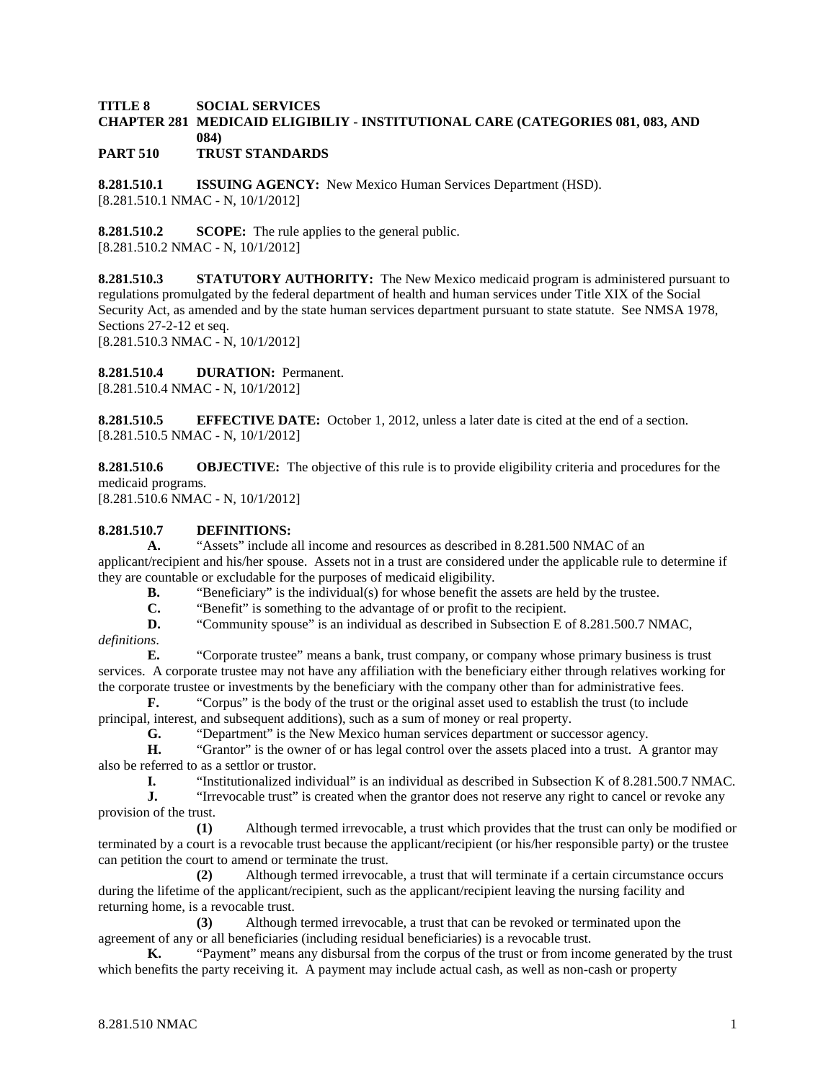#### **TITLE 8 SOCIAL SERVICES CHAPTER 281 MEDICAID ELIGIBILIY - INSTITUTIONAL CARE (CATEGORIES 081, 083, AND 084) PART 510 TRUST STANDARDS**

**8.281.510.1 ISSUING AGENCY:** New Mexico Human Services Department (HSD). [8.281.510.1 NMAC - N, 10/1/2012]

**8.281.510.2 SCOPE:** The rule applies to the general public. [8.281.510.2 NMAC - N, 10/1/2012]

**8.281.510.3 STATUTORY AUTHORITY:** The New Mexico medicaid program is administered pursuant to regulations promulgated by the federal department of health and human services under Title XIX of the Social Security Act, as amended and by the state human services department pursuant to state statute. See NMSA 1978, Sections 27-2-12 et seq.

[8.281.510.3 NMAC - N, 10/1/2012]

**8.281.510.4 DURATION:** Permanent.

[8.281.510.4 NMAC - N, 10/1/2012]

**8.281.510.5 EFFECTIVE DATE:** October 1, 2012, unless a later date is cited at the end of a section. [8.281.510.5 NMAC - N, 10/1/2012]

**8.281.510.6 OBJECTIVE:** The objective of this rule is to provide eligibility criteria and procedures for the medicaid programs.

[8.281.510.6 NMAC - N, 10/1/2012]

# **8.281.510.7 DEFINITIONS:**

**A.** "Assets" include all income and resources as described in 8.281.500 NMAC of an applicant/recipient and his/her spouse. Assets not in a trust are considered under the applicable rule to determine if they are countable or excludable for the purposes of medicaid eligibility.<br> **B.** "Beneficiary" is the individual(s) for whose benefit the

"Beneficiary" is the individual(s) for whose benefit the assets are held by the trustee.

**C.** "Benefit" is something to the advantage of or profit to the recipient.

**D.** "Community spouse" is an individual as described in Subsection E of 8.281.500.7 NMAC, *definitions*.

**E.** "Corporate trustee" means a bank, trust company, or company whose primary business is trust services. A corporate trustee may not have any affiliation with the beneficiary either through relatives working for the corporate trustee or investments by the beneficiary with the company other than for administrative fees.

**F.** "Corpus" is the body of the trust or the original asset used to establish the trust (to include principal, interest, and subsequent additions), such as a sum of money or real property.

**G.** "Department" is the New Mexico human services department or successor agency.

**H.** "Grantor" is the owner of or has legal control over the assets placed into a trust. A grantor may also be referred to as a settlor or trustor.

**I.** "Institutionalized individual" is an individual as described in Subsection K of 8.281.500.7 NMAC.

**J.** "Irrevocable trust" is created when the grantor does not reserve any right to cancel or revoke any provision of the trust.

**(1)** Although termed irrevocable, a trust which provides that the trust can only be modified or terminated by a court is a revocable trust because the applicant/recipient (or his/her responsible party) or the trustee can petition the court to amend or terminate the trust.

**(2)** Although termed irrevocable, a trust that will terminate if a certain circumstance occurs during the lifetime of the applicant/recipient, such as the applicant/recipient leaving the nursing facility and returning home, is a revocable trust.

**(3)** Although termed irrevocable, a trust that can be revoked or terminated upon the agreement of any or all beneficiaries (including residual beneficiaries) is a revocable trust.

**K.** "Payment" means any disbursal from the corpus of the trust or from income generated by the trust which benefits the party receiving it. A payment may include actual cash, as well as non-cash or property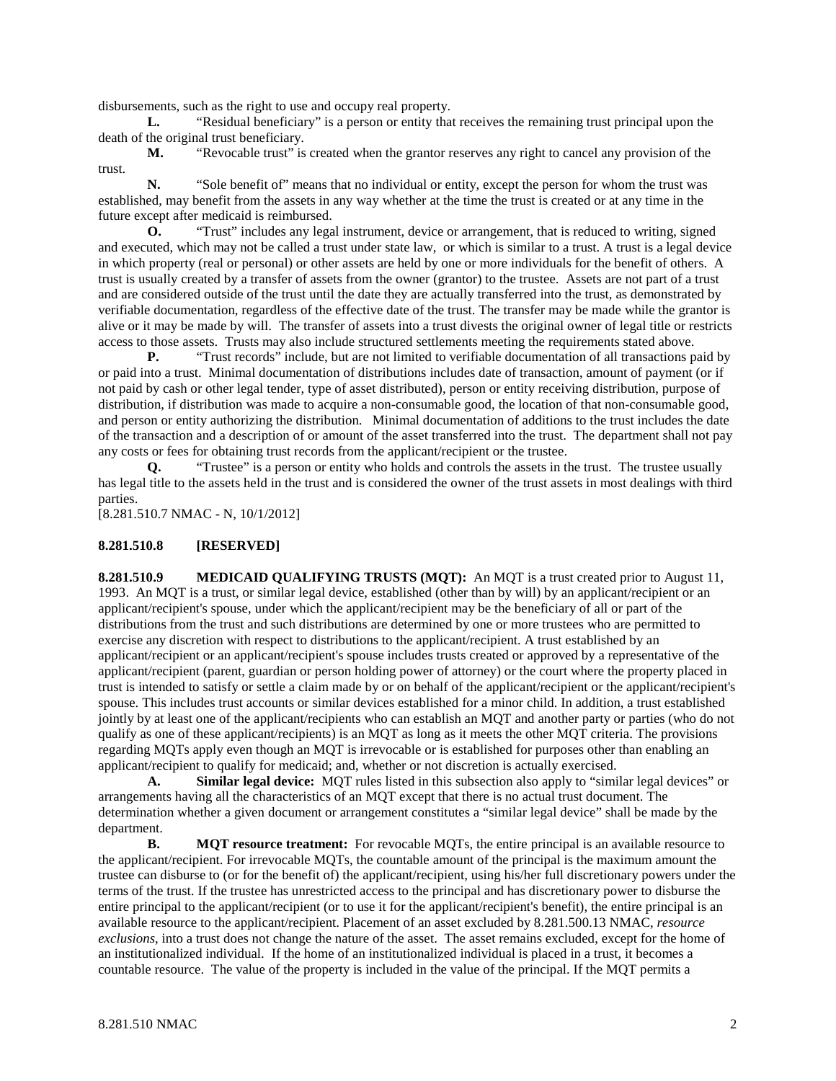disbursements, such as the right to use and occupy real property.

**L.** "Residual beneficiary" is a person or entity that receives the remaining trust principal upon the death of the original trust beneficiary.

**M.** "Revocable trust" is created when the grantor reserves any right to cancel any provision of the trust.

**N.** "Sole benefit of" means that no individual or entity, except the person for whom the trust was established, may benefit from the assets in any way whether at the time the trust is created or at any time in the future except after medicaid is reimbursed.

**O.** "Trust" includes any legal instrument, device or arrangement, that is reduced to writing, signed and executed, which may not be called a trust under state law, or which is similar to a trust. A trust is a legal device in which property (real or personal) or other assets are held by one or more individuals for the benefit of others. A trust is usually created by a transfer of assets from the owner (grantor) to the trustee. Assets are not part of a trust and are considered outside of the trust until the date they are actually transferred into the trust, as demonstrated by verifiable documentation, regardless of the effective date of the trust. The transfer may be made while the grantor is alive or it may be made by will. The transfer of assets into a trust divests the original owner of legal title or restricts access to those assets. Trusts may also include structured settlements meeting the requirements stated above.

**P.** "Trust records" include, but are not limited to verifiable documentation of all transactions paid by or paid into a trust. Minimal documentation of distributions includes date of transaction, amount of payment (or if not paid by cash or other legal tender, type of asset distributed), person or entity receiving distribution, purpose of distribution, if distribution was made to acquire a non-consumable good, the location of that non-consumable good, and person or entity authorizing the distribution. Minimal documentation of additions to the trust includes the date of the transaction and a description of or amount of the asset transferred into the trust. The department shall not pay any costs or fees for obtaining trust records from the applicant/recipient or the trustee.

**Q.** "Trustee" is a person or entity who holds and controls the assets in the trust. The trustee usually has legal title to the assets held in the trust and is considered the owner of the trust assets in most dealings with third parties.

[8.281.510.7 NMAC - N, 10/1/2012]

#### **8.281.510.8 [RESERVED]**

**8.281.510.9 MEDICAID QUALIFYING TRUSTS (MQT):** An MQT is a trust created prior to August 11, 1993. An MQT is a trust, or similar legal device, established (other than by will) by an applicant/recipient or an applicant/recipient's spouse, under which the applicant/recipient may be the beneficiary of all or part of the distributions from the trust and such distributions are determined by one or more trustees who are permitted to exercise any discretion with respect to distributions to the applicant/recipient. A trust established by an applicant/recipient or an applicant/recipient's spouse includes trusts created or approved by a representative of the applicant/recipient (parent, guardian or person holding power of attorney) or the court where the property placed in trust is intended to satisfy or settle a claim made by or on behalf of the applicant/recipient or the applicant/recipient's spouse. This includes trust accounts or similar devices established for a minor child. In addition, a trust established jointly by at least one of the applicant/recipients who can establish an MQT and another party or parties (who do not qualify as one of these applicant/recipients) is an MQT as long as it meets the other MQT criteria. The provisions regarding MQTs apply even though an MQT is irrevocable or is established for purposes other than enabling an applicant/recipient to qualify for medicaid; and, whether or not discretion is actually exercised.

**A. Similar legal device:** MQT rules listed in this subsection also apply to "similar legal devices" or arrangements having all the characteristics of an MQT except that there is no actual trust document. The determination whether a given document or arrangement constitutes a "similar legal device" shall be made by the department.

**B. MQT resource treatment:** For revocable MQTs, the entire principal is an available resource to the applicant/recipient. For irrevocable MQTs, the countable amount of the principal is the maximum amount the trustee can disburse to (or for the benefit of) the applicant/recipient, using his/her full discretionary powers under the terms of the trust. If the trustee has unrestricted access to the principal and has discretionary power to disburse the entire principal to the applicant/recipient (or to use it for the applicant/recipient's benefit), the entire principal is an available resource to the applicant/recipient. Placement of an asset excluded by 8.281.500.13 NMAC, *resource exclusions*, into a trust does not change the nature of the asset. The asset remains excluded, except for the home of an institutionalized individual. If the home of an institutionalized individual is placed in a trust, it becomes a countable resource. The value of the property is included in the value of the principal. If the MQT permits a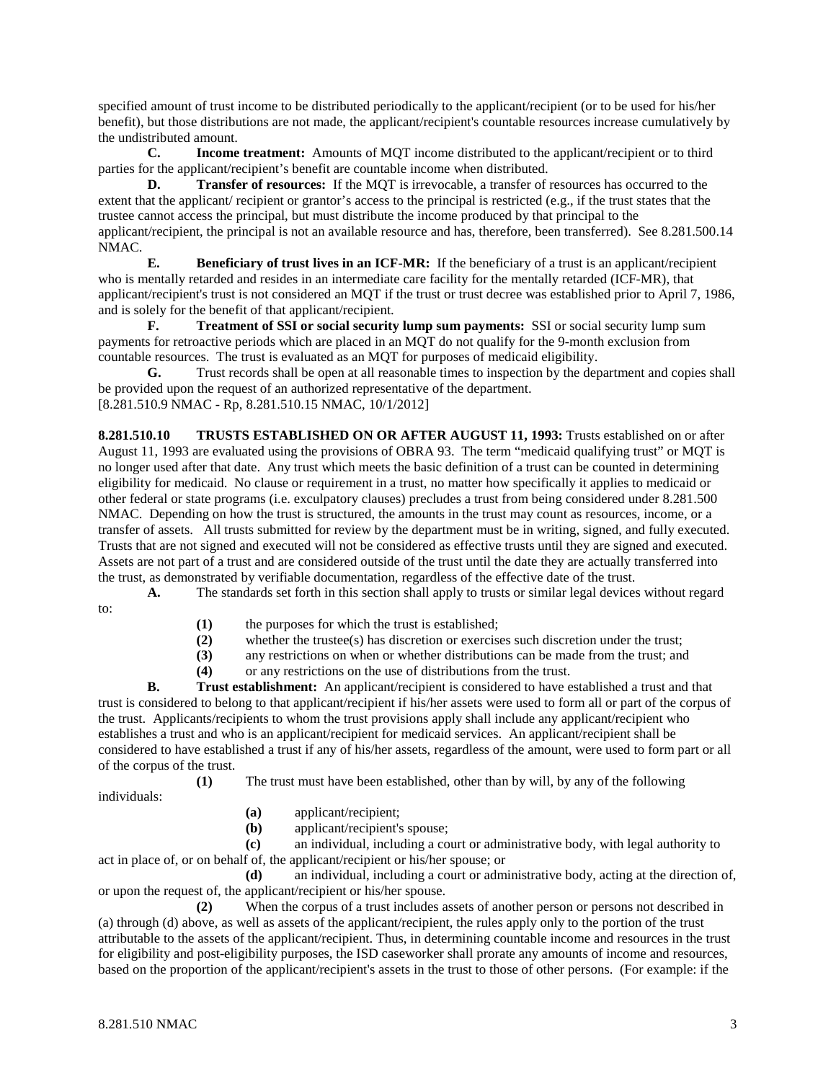specified amount of trust income to be distributed periodically to the applicant/recipient (or to be used for his/her benefit), but those distributions are not made, the applicant/recipient's countable resources increase cumulatively by the undistributed amount.

**C. Income treatment:** Amounts of MQT income distributed to the applicant/recipient or to third parties for the applicant/recipient's benefit are countable income when distributed.

**D. Transfer of resources:** If the MQT is irrevocable, a transfer of resources has occurred to the extent that the applicant/ recipient or grantor's access to the principal is restricted (e.g., if the trust states that the trustee cannot access the principal, but must distribute the income produced by that principal to the applicant/recipient, the principal is not an available resource and has, therefore, been transferred). See 8.281.500.14 NMAC.

**E. Beneficiary of trust lives in an ICF-MR:** If the beneficiary of a trust is an applicant/recipient who is mentally retarded and resides in an intermediate care facility for the mentally retarded (ICF-MR), that applicant/recipient's trust is not considered an MQT if the trust or trust decree was established prior to April 7, 1986, and is solely for the benefit of that applicant/recipient.

**F. Treatment of SSI or social security lump sum payments:** SSI or social security lump sum payments for retroactive periods which are placed in an MQT do not qualify for the 9-month exclusion from countable resources. The trust is evaluated as an MQT for purposes of medicaid eligibility.

**G.** Trust records shall be open at all reasonable times to inspection by the department and copies shall be provided upon the request of an authorized representative of the department. [8.281.510.9 NMAC - Rp, 8.281.510.15 NMAC, 10/1/2012]

**8.281.510.10 TRUSTS ESTABLISHED ON OR AFTER AUGUST 11, 1993:** Trusts established on or after August 11, 1993 are evaluated using the provisions of OBRA 93. The term "medicaid qualifying trust" or MQT is no longer used after that date. Any trust which meets the basic definition of a trust can be counted in determining eligibility for medicaid. No clause or requirement in a trust, no matter how specifically it applies to medicaid or other federal or state programs (i.e. exculpatory clauses) precludes a trust from being considered under 8.281.500 NMAC. Depending on how the trust is structured, the amounts in the trust may count as resources, income, or a transfer of assets. All trusts submitted for review by the department must be in writing, signed, and fully executed. Trusts that are not signed and executed will not be considered as effective trusts until they are signed and executed. Assets are not part of a trust and are considered outside of the trust until the date they are actually transferred into the trust, as demonstrated by verifiable documentation, regardless of the effective date of the trust.

**A.** The standards set forth in this section shall apply to trusts or similar legal devices without regard to:

- (1) the purposes for which the trust is established;<br>(2) whether the trustee(s) has discretion or exercise
- whether the trustee(s) has discretion or exercises such discretion under the trust;
- **(3)** any restrictions on when or whether distributions can be made from the trust; and
- **(4)** or any restrictions on the use of distributions from the trust.

**B. Trust establishment:** An applicant/recipient is considered to have established a trust and that trust is considered to belong to that applicant/recipient if his/her assets were used to form all or part of the corpus of the trust. Applicants/recipients to whom the trust provisions apply shall include any applicant/recipient who establishes a trust and who is an applicant/recipient for medicaid services. An applicant/recipient shall be considered to have established a trust if any of his/her assets, regardless of the amount, were used to form part or all of the corpus of the trust.

**(1)** The trust must have been established, other than by will, by any of the following individuals:

- **(a)** applicant/recipient;
- **(b)** applicant/recipient's spouse;

**(c)** an individual, including a court or administrative body, with legal authority to act in place of, or on behalf of, the applicant/recipient or his/her spouse; or

**(d)** an individual, including a court or administrative body, acting at the direction of, or upon the request of, the applicant/recipient or his/her spouse.

**(2)** When the corpus of a trust includes assets of another person or persons not described in (a) through (d) above, as well as assets of the applicant/recipient, the rules apply only to the portion of the trust attributable to the assets of the applicant/recipient. Thus, in determining countable income and resources in the trust for eligibility and post-eligibility purposes, the ISD caseworker shall prorate any amounts of income and resources, based on the proportion of the applicant/recipient's assets in the trust to those of other persons. (For example: if the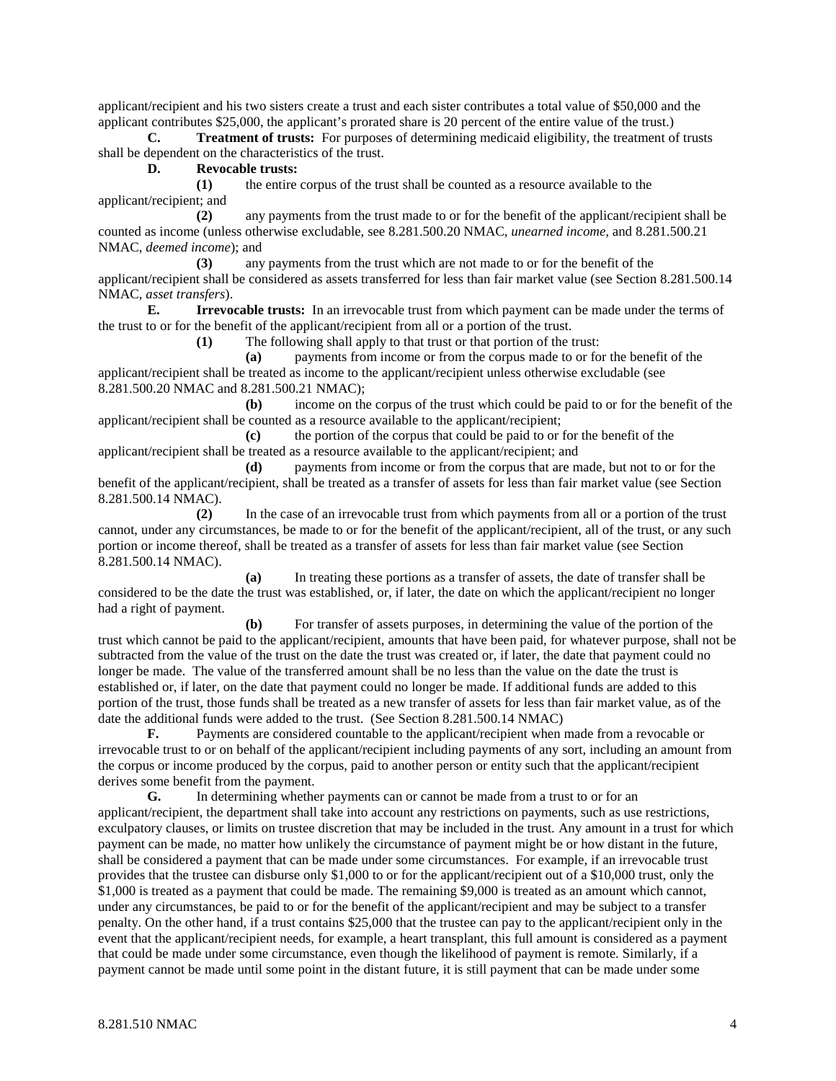applicant/recipient and his two sisters create a trust and each sister contributes a total value of \$50,000 and the applicant contributes \$25,000, the applicant's prorated share is 20 percent of the entire value of the trust.)

**C. Treatment of trusts:** For purposes of determining medicaid eligibility, the treatment of trusts shall be dependent on the characteristics of the trust.

#### **D. Revocable trusts:**

**(1)** the entire corpus of the trust shall be counted as a resource available to the applicant/recipient; and

**(2)** any payments from the trust made to or for the benefit of the applicant/recipient shall be counted as income (unless otherwise excludable, see 8.281.500.20 NMAC, *unearned income*, and 8.281.500.21 NMAC, *deemed income*); and

**(3)** any payments from the trust which are not made to or for the benefit of the applicant/recipient shall be considered as assets transferred for less than fair market value (see Section 8.281.500.14 NMAC, *asset transfers*).

**E. Irrevocable trusts:** In an irrevocable trust from which payment can be made under the terms of the trust to or for the benefit of the applicant/recipient from all or a portion of the trust.

**(1)** The following shall apply to that trust or that portion of the trust:

**(a)** payments from income or from the corpus made to or for the benefit of the applicant/recipient shall be treated as income to the applicant/recipient unless otherwise excludable (see 8.281.500.20 NMAC and 8.281.500.21 NMAC);

**(b)** income on the corpus of the trust which could be paid to or for the benefit of the applicant/recipient shall be counted as a resource available to the applicant/recipient;

**(c)** the portion of the corpus that could be paid to or for the benefit of the applicant/recipient shall be treated as a resource available to the applicant/recipient; and

**(d)** payments from income or from the corpus that are made, but not to or for the benefit of the applicant/recipient, shall be treated as a transfer of assets for less than fair market value (see Section 8.281.500.14 NMAC).

**(2)** In the case of an irrevocable trust from which payments from all or a portion of the trust cannot, under any circumstances, be made to or for the benefit of the applicant/recipient, all of the trust, or any such portion or income thereof, shall be treated as a transfer of assets for less than fair market value (see Section 8.281.500.14 NMAC).

**(a)** In treating these portions as a transfer of assets, the date of transfer shall be considered to be the date the trust was established, or, if later, the date on which the applicant/recipient no longer had a right of payment.

**(b)** For transfer of assets purposes, in determining the value of the portion of the trust which cannot be paid to the applicant/recipient, amounts that have been paid, for whatever purpose, shall not be subtracted from the value of the trust on the date the trust was created or, if later, the date that payment could no longer be made. The value of the transferred amount shall be no less than the value on the date the trust is established or, if later, on the date that payment could no longer be made. If additional funds are added to this portion of the trust, those funds shall be treated as a new transfer of assets for less than fair market value, as of the date the additional funds were added to the trust. (See Section 8.281.500.14 NMAC)

**F.** Payments are considered countable to the applicant/recipient when made from a revocable or irrevocable trust to or on behalf of the applicant/recipient including payments of any sort, including an amount from the corpus or income produced by the corpus, paid to another person or entity such that the applicant/recipient derives some benefit from the payment.

**G.** In determining whether payments can or cannot be made from a trust to or for an applicant/recipient, the department shall take into account any restrictions on payments, such as use restrictions, exculpatory clauses, or limits on trustee discretion that may be included in the trust. Any amount in a trust for which payment can be made, no matter how unlikely the circumstance of payment might be or how distant in the future, shall be considered a payment that can be made under some circumstances. For example, if an irrevocable trust provides that the trustee can disburse only \$1,000 to or for the applicant/recipient out of a \$10,000 trust, only the \$1,000 is treated as a payment that could be made. The remaining \$9,000 is treated as an amount which cannot, under any circumstances, be paid to or for the benefit of the applicant/recipient and may be subject to a transfer penalty. On the other hand, if a trust contains \$25,000 that the trustee can pay to the applicant/recipient only in the event that the applicant/recipient needs, for example, a heart transplant, this full amount is considered as a payment that could be made under some circumstance, even though the likelihood of payment is remote. Similarly, if a payment cannot be made until some point in the distant future, it is still payment that can be made under some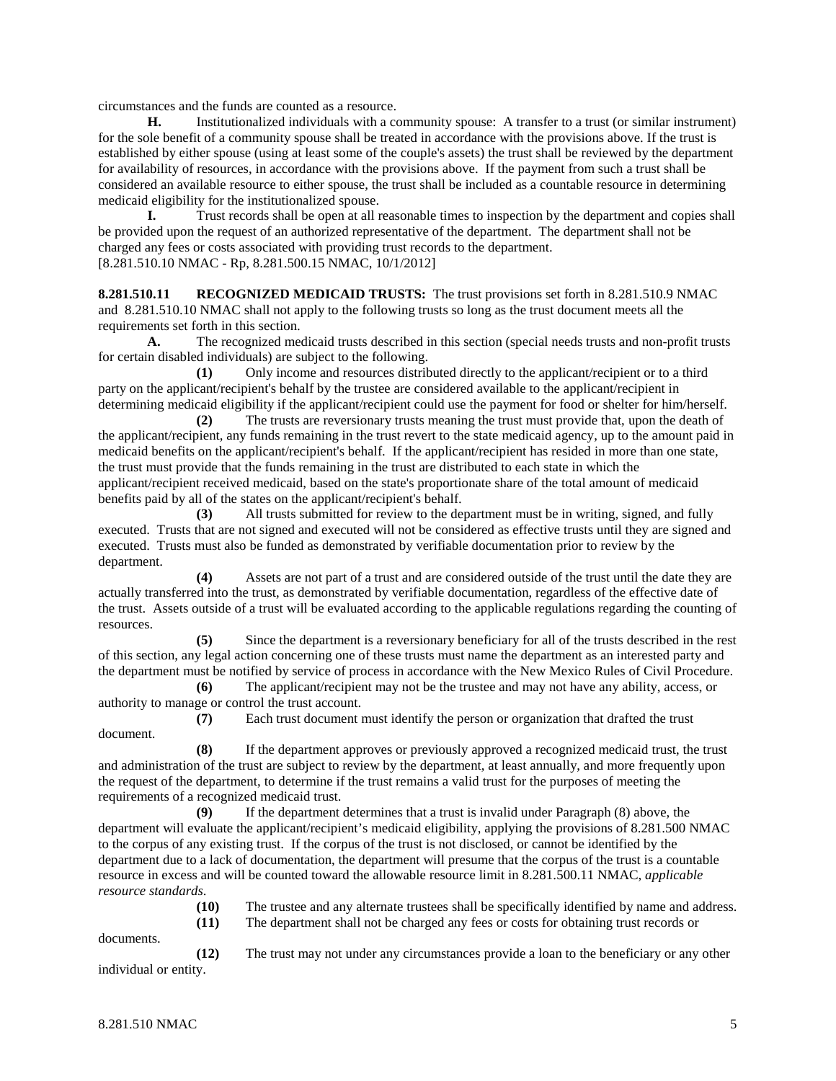circumstances and the funds are counted as a resource.

**H.** Institutionalized individuals with a community spouse: A transfer to a trust (or similar instrument) for the sole benefit of a community spouse shall be treated in accordance with the provisions above. If the trust is established by either spouse (using at least some of the couple's assets) the trust shall be reviewed by the department for availability of resources, in accordance with the provisions above. If the payment from such a trust shall be considered an available resource to either spouse, the trust shall be included as a countable resource in determining medicaid eligibility for the institutionalized spouse.

**I.** Trust records shall be open at all reasonable times to inspection by the department and copies shall be provided upon the request of an authorized representative of the department. The department shall not be charged any fees or costs associated with providing trust records to the department. [8.281.510.10 NMAC - Rp, 8.281.500.15 NMAC, 10/1/2012]

**8.281.510.11 RECOGNIZED MEDICAID TRUSTS:** The trust provisions set forth in 8.281.510.9 NMAC and 8.281.510.10 NMAC shall not apply to the following trusts so long as the trust document meets all the requirements set forth in this section.

**A.** The recognized medicaid trusts described in this section (special needs trusts and non-profit trusts for certain disabled individuals) are subject to the following.

**(1)** Only income and resources distributed directly to the applicant/recipient or to a third party on the applicant/recipient's behalf by the trustee are considered available to the applicant/recipient in determining medicaid eligibility if the applicant/recipient could use the payment for food or shelter for him/herself.

**(2)** The trusts are reversionary trusts meaning the trust must provide that, upon the death of the applicant/recipient, any funds remaining in the trust revert to the state medicaid agency, up to the amount paid in medicaid benefits on the applicant/recipient's behalf. If the applicant/recipient has resided in more than one state, the trust must provide that the funds remaining in the trust are distributed to each state in which the applicant/recipient received medicaid, based on the state's proportionate share of the total amount of medicaid benefits paid by all of the states on the applicant/recipient's behalf.

**(3)** All trusts submitted for review to the department must be in writing, signed, and fully executed. Trusts that are not signed and executed will not be considered as effective trusts until they are signed and executed. Trusts must also be funded as demonstrated by verifiable documentation prior to review by the department.

**(4)** Assets are not part of a trust and are considered outside of the trust until the date they are actually transferred into the trust, as demonstrated by verifiable documentation, regardless of the effective date of the trust. Assets outside of a trust will be evaluated according to the applicable regulations regarding the counting of resources.

**(5)** Since the department is a reversionary beneficiary for all of the trusts described in the rest of this section, any legal action concerning one of these trusts must name the department as an interested party and the department must be notified by service of process in accordance with the New Mexico Rules of Civil Procedure.

**(6)** The applicant/recipient may not be the trustee and may not have any ability, access, or authority to manage or control the trust account.

**(7)** Each trust document must identify the person or organization that drafted the trust document.

**(8)** If the department approves or previously approved a recognized medicaid trust, the trust and administration of the trust are subject to review by the department, at least annually, and more frequently upon the request of the department, to determine if the trust remains a valid trust for the purposes of meeting the requirements of a recognized medicaid trust.

**(9)** If the department determines that a trust is invalid under Paragraph (8) above, the department will evaluate the applicant/recipient's medicaid eligibility, applying the provisions of 8.281.500 NMAC to the corpus of any existing trust. If the corpus of the trust is not disclosed, or cannot be identified by the department due to a lack of documentation, the department will presume that the corpus of the trust is a countable resource in excess and will be counted toward the allowable resource limit in 8.281.500.11 NMAC, *applicable resource standards*.

> **(10)** The trustee and any alternate trustees shall be specifically identified by name and address. **(11)** The department shall not be charged any fees or costs for obtaining trust records or

documents.

**(12)** The trust may not under any circumstances provide a loan to the beneficiary or any other individual or entity.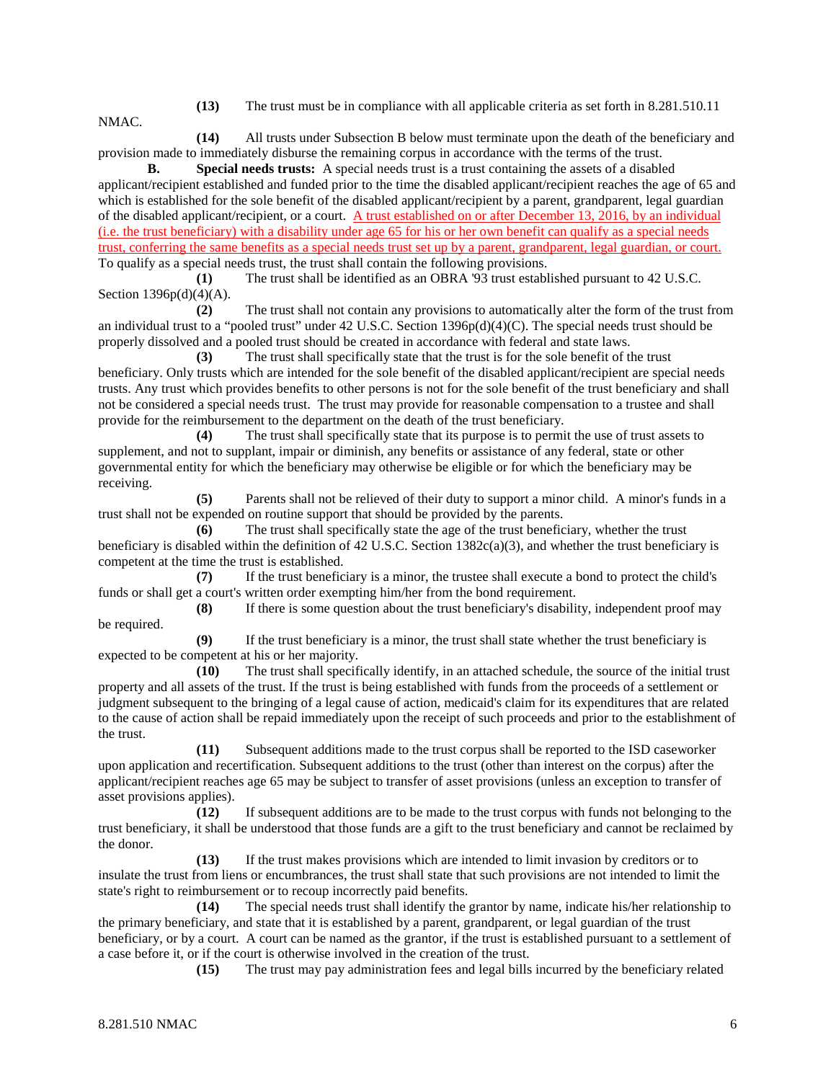**(13)** The trust must be in compliance with all applicable criteria as set forth in 8.281.510.11

**(14)** All trusts under Subsection B below must terminate upon the death of the beneficiary and provision made to immediately disburse the remaining corpus in accordance with the terms of the trust.

**B. Special needs trusts:** A special needs trust is a trust containing the assets of a disabled applicant/recipient established and funded prior to the time the disabled applicant/recipient reaches the age of 65 and which is established for the sole benefit of the disabled applicant/recipient by a parent, grandparent, legal guardian of the disabled applicant/recipient, or a court. A trust established on or after December 13, 2016, by an individual (i.e. the trust beneficiary) with a disability under age 65 for his or her own benefit can qualify as a special needs trust, conferring the same benefits as a special needs trust set up by a parent, grandparent, legal guardian, or court. To qualify as a special needs trust, the trust shall contain the following provisions.

**(1)** The trust shall be identified as an OBRA '93 trust established pursuant to 42 U.S.C. Section 1396p(d)(4)(A).

**(2)** The trust shall not contain any provisions to automatically alter the form of the trust from an individual trust to a "pooled trust" under 42 U.S.C. Section 1396p(d)(4)(C). The special needs trust should be properly dissolved and a pooled trust should be created in accordance with federal and state laws.

**(3)** The trust shall specifically state that the trust is for the sole benefit of the trust beneficiary. Only trusts which are intended for the sole benefit of the disabled applicant/recipient are special needs trusts. Any trust which provides benefits to other persons is not for the sole benefit of the trust beneficiary and shall not be considered a special needs trust. The trust may provide for reasonable compensation to a trustee and shall provide for the reimbursement to the department on the death of the trust beneficiary.

**(4)** The trust shall specifically state that its purpose is to permit the use of trust assets to supplement, and not to supplant, impair or diminish, any benefits or assistance of any federal, state or other governmental entity for which the beneficiary may otherwise be eligible or for which the beneficiary may be receiving.

**(5)** Parents shall not be relieved of their duty to support a minor child. A minor's funds in a trust shall not be expended on routine support that should be provided by the parents.

**(6)** The trust shall specifically state the age of the trust beneficiary, whether the trust beneficiary is disabled within the definition of 42 U.S.C. Section 1382c(a)(3), and whether the trust beneficiary is competent at the time the trust is established.

**(7)** If the trust beneficiary is a minor, the trustee shall execute a bond to protect the child's funds or shall get a court's written order exempting him/her from the bond requirement.

**(8)** If there is some question about the trust beneficiary's disability, independent proof may be required.

**(9)** If the trust beneficiary is a minor, the trust shall state whether the trust beneficiary is expected to be competent at his or her majority.

**(10)** The trust shall specifically identify, in an attached schedule, the source of the initial trust property and all assets of the trust. If the trust is being established with funds from the proceeds of a settlement or judgment subsequent to the bringing of a legal cause of action, medicaid's claim for its expenditures that are related to the cause of action shall be repaid immediately upon the receipt of such proceeds and prior to the establishment of the trust.

**(11)** Subsequent additions made to the trust corpus shall be reported to the ISD caseworker upon application and recertification. Subsequent additions to the trust (other than interest on the corpus) after the applicant/recipient reaches age 65 may be subject to transfer of asset provisions (unless an exception to transfer of asset provisions applies).

**(12)** If subsequent additions are to be made to the trust corpus with funds not belonging to the trust beneficiary, it shall be understood that those funds are a gift to the trust beneficiary and cannot be reclaimed by the donor.

**(13)** If the trust makes provisions which are intended to limit invasion by creditors or to insulate the trust from liens or encumbrances, the trust shall state that such provisions are not intended to limit the state's right to reimbursement or to recoup incorrectly paid benefits.

**(14)** The special needs trust shall identify the grantor by name, indicate his/her relationship to the primary beneficiary, and state that it is established by a parent, grandparent, or legal guardian of the trust beneficiary, or by a court. A court can be named as the grantor, if the trust is established pursuant to a settlement of a case before it, or if the court is otherwise involved in the creation of the trust.<br>(15) The trust may pay administration fees and legal bills

**(15)** The trust may pay administration fees and legal bills incurred by the beneficiary related

NMAC.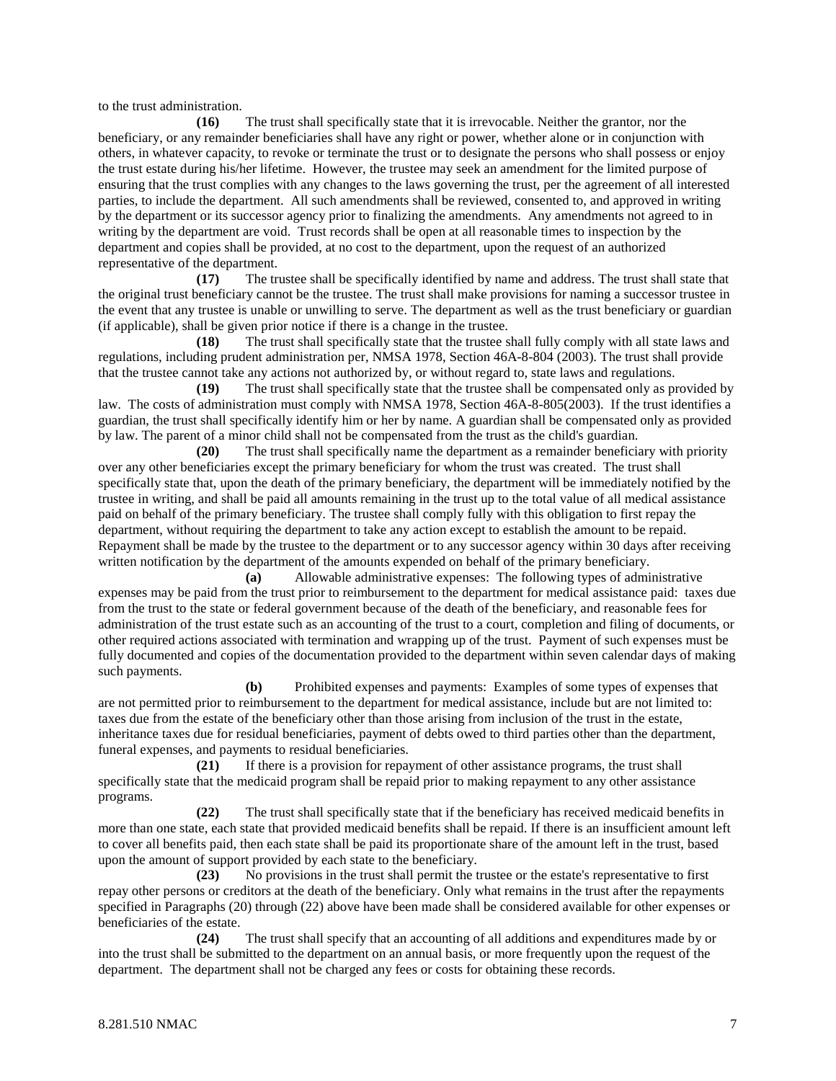to the trust administration.

**(16)** The trust shall specifically state that it is irrevocable. Neither the grantor, nor the beneficiary, or any remainder beneficiaries shall have any right or power, whether alone or in conjunction with others, in whatever capacity, to revoke or terminate the trust or to designate the persons who shall possess or enjoy the trust estate during his/her lifetime. However, the trustee may seek an amendment for the limited purpose of ensuring that the trust complies with any changes to the laws governing the trust, per the agreement of all interested parties, to include the department. All such amendments shall be reviewed, consented to, and approved in writing by the department or its successor agency prior to finalizing the amendments. Any amendments not agreed to in writing by the department are void. Trust records shall be open at all reasonable times to inspection by the department and copies shall be provided, at no cost to the department, upon the request of an authorized representative of the department.

**(17)** The trustee shall be specifically identified by name and address. The trust shall state that the original trust beneficiary cannot be the trustee. The trust shall make provisions for naming a successor trustee in the event that any trustee is unable or unwilling to serve. The department as well as the trust beneficiary or guardian (if applicable), shall be given prior notice if there is a change in the trustee.

**(18)** The trust shall specifically state that the trustee shall fully comply with all state laws and regulations, including prudent administration per, NMSA 1978, Section 46A-8-804 (2003). The trust shall provide that the trustee cannot take any actions not authorized by, or without regard to, state laws and regulations.

**(19)** The trust shall specifically state that the trustee shall be compensated only as provided by law. The costs of administration must comply with NMSA 1978, Section 46A-8-805(2003). If the trust identifies a guardian, the trust shall specifically identify him or her by name. A guardian shall be compensated only as provided by law. The parent of a minor child shall not be compensated from the trust as the child's guardian.

**(20)** The trust shall specifically name the department as a remainder beneficiary with priority over any other beneficiaries except the primary beneficiary for whom the trust was created. The trust shall specifically state that, upon the death of the primary beneficiary, the department will be immediately notified by the trustee in writing, and shall be paid all amounts remaining in the trust up to the total value of all medical assistance paid on behalf of the primary beneficiary. The trustee shall comply fully with this obligation to first repay the department, without requiring the department to take any action except to establish the amount to be repaid. Repayment shall be made by the trustee to the department or to any successor agency within 30 days after receiving written notification by the department of the amounts expended on behalf of the primary beneficiary.

**(a)** Allowable administrative expenses: The following types of administrative expenses may be paid from the trust prior to reimbursement to the department for medical assistance paid: taxes due from the trust to the state or federal government because of the death of the beneficiary, and reasonable fees for administration of the trust estate such as an accounting of the trust to a court, completion and filing of documents, or other required actions associated with termination and wrapping up of the trust. Payment of such expenses must be fully documented and copies of the documentation provided to the department within seven calendar days of making such payments.

**(b)** Prohibited expenses and payments: Examples of some types of expenses that are not permitted prior to reimbursement to the department for medical assistance, include but are not limited to: taxes due from the estate of the beneficiary other than those arising from inclusion of the trust in the estate, inheritance taxes due for residual beneficiaries, payment of debts owed to third parties other than the department, funeral expenses, and payments to residual beneficiaries.

**(21)** If there is a provision for repayment of other assistance programs, the trust shall specifically state that the medicaid program shall be repaid prior to making repayment to any other assistance programs.

**(22)** The trust shall specifically state that if the beneficiary has received medicaid benefits in more than one state, each state that provided medicaid benefits shall be repaid. If there is an insufficient amount left to cover all benefits paid, then each state shall be paid its proportionate share of the amount left in the trust, based upon the amount of support provided by each state to the beneficiary.

**(23)** No provisions in the trust shall permit the trustee or the estate's representative to first repay other persons or creditors at the death of the beneficiary. Only what remains in the trust after the repayments specified in Paragraphs (20) through (22) above have been made shall be considered available for other expenses or beneficiaries of the estate.

**(24)** The trust shall specify that an accounting of all additions and expenditures made by or into the trust shall be submitted to the department on an annual basis, or more frequently upon the request of the department. The department shall not be charged any fees or costs for obtaining these records.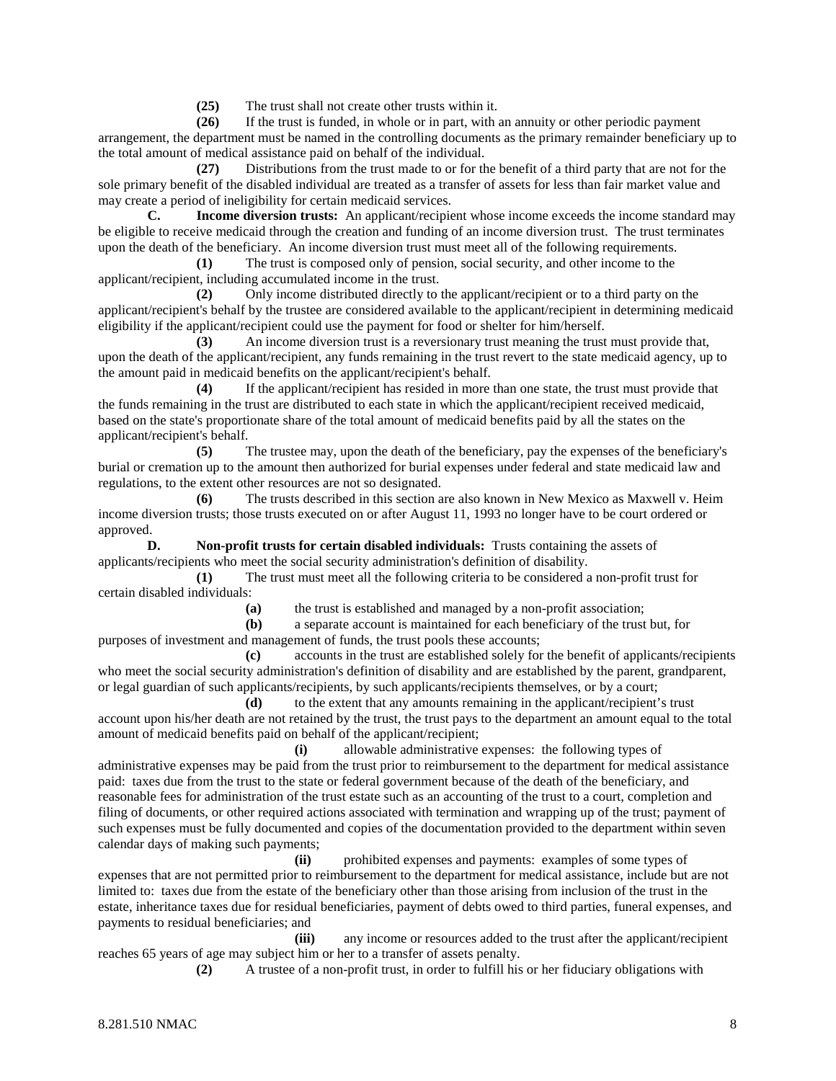**(25)** The trust shall not create other trusts within it.

**(26)** If the trust is funded, in whole or in part, with an annuity or other periodic payment arrangement, the department must be named in the controlling documents as the primary remainder beneficiary up to the total amount of medical assistance paid on behalf of the individual.

**(27)** Distributions from the trust made to or for the benefit of a third party that are not for the sole primary benefit of the disabled individual are treated as a transfer of assets for less than fair market value and may create a period of ineligibility for certain medicaid services.

**C. Income diversion trusts:** An applicant/recipient whose income exceeds the income standard may be eligible to receive medicaid through the creation and funding of an income diversion trust. The trust terminates upon the death of the beneficiary. An income diversion trust must meet all of the following requirements.

**(1)** The trust is composed only of pension, social security, and other income to the applicant/recipient, including accumulated income in the trust.

**(2)** Only income distributed directly to the applicant/recipient or to a third party on the applicant/recipient's behalf by the trustee are considered available to the applicant/recipient in determining medicaid eligibility if the applicant/recipient could use the payment for food or shelter for him/herself.

**(3)** An income diversion trust is a reversionary trust meaning the trust must provide that, upon the death of the applicant/recipient, any funds remaining in the trust revert to the state medicaid agency, up to the amount paid in medicaid benefits on the applicant/recipient's behalf.

**(4)** If the applicant/recipient has resided in more than one state, the trust must provide that the funds remaining in the trust are distributed to each state in which the applicant/recipient received medicaid, based on the state's proportionate share of the total amount of medicaid benefits paid by all the states on the applicant/recipient's behalf.

**(5)** The trustee may, upon the death of the beneficiary, pay the expenses of the beneficiary's burial or cremation up to the amount then authorized for burial expenses under federal and state medicaid law and regulations, to the extent other resources are not so designated.

**(6)** The trusts described in this section are also known in New Mexico as Maxwell v. Heim income diversion trusts; those trusts executed on or after August 11, 1993 no longer have to be court ordered or approved.

**D. Non-profit trusts for certain disabled individuals:** Trusts containing the assets of applicants/recipients who meet the social security administration's definition of disability.

**(1)** The trust must meet all the following criteria to be considered a non-profit trust for certain disabled individuals:

**(a)** the trust is established and managed by a non-profit association;

**(b)** a separate account is maintained for each beneficiary of the trust but, for purposes of investment and management of funds, the trust pools these accounts;

**(c)** accounts in the trust are established solely for the benefit of applicants/recipients who meet the social security administration's definition of disability and are established by the parent, grandparent, or legal guardian of such applicants/recipients, by such applicants/recipients themselves, or by a court;

**(d)** to the extent that any amounts remaining in the applicant/recipient's trust account upon his/her death are not retained by the trust, the trust pays to the department an amount equal to the total amount of medicaid benefits paid on behalf of the applicant/recipient;

**(i)** allowable administrative expenses: the following types of administrative expenses may be paid from the trust prior to reimbursement to the department for medical assistance paid: taxes due from the trust to the state or federal government because of the death of the beneficiary, and reasonable fees for administration of the trust estate such as an accounting of the trust to a court, completion and filing of documents, or other required actions associated with termination and wrapping up of the trust; payment of such expenses must be fully documented and copies of the documentation provided to the department within seven calendar days of making such payments;

**(ii)** prohibited expenses and payments: examples of some types of expenses that are not permitted prior to reimbursement to the department for medical assistance, include but are not limited to: taxes due from the estate of the beneficiary other than those arising from inclusion of the trust in the estate, inheritance taxes due for residual beneficiaries, payment of debts owed to third parties, funeral expenses, and payments to residual beneficiaries; and

**(iii)** any income or resources added to the trust after the applicant/recipient reaches 65 years of age may subject him or her to a transfer of assets penalty.

**(2)** A trustee of a non-profit trust, in order to fulfill his or her fiduciary obligations with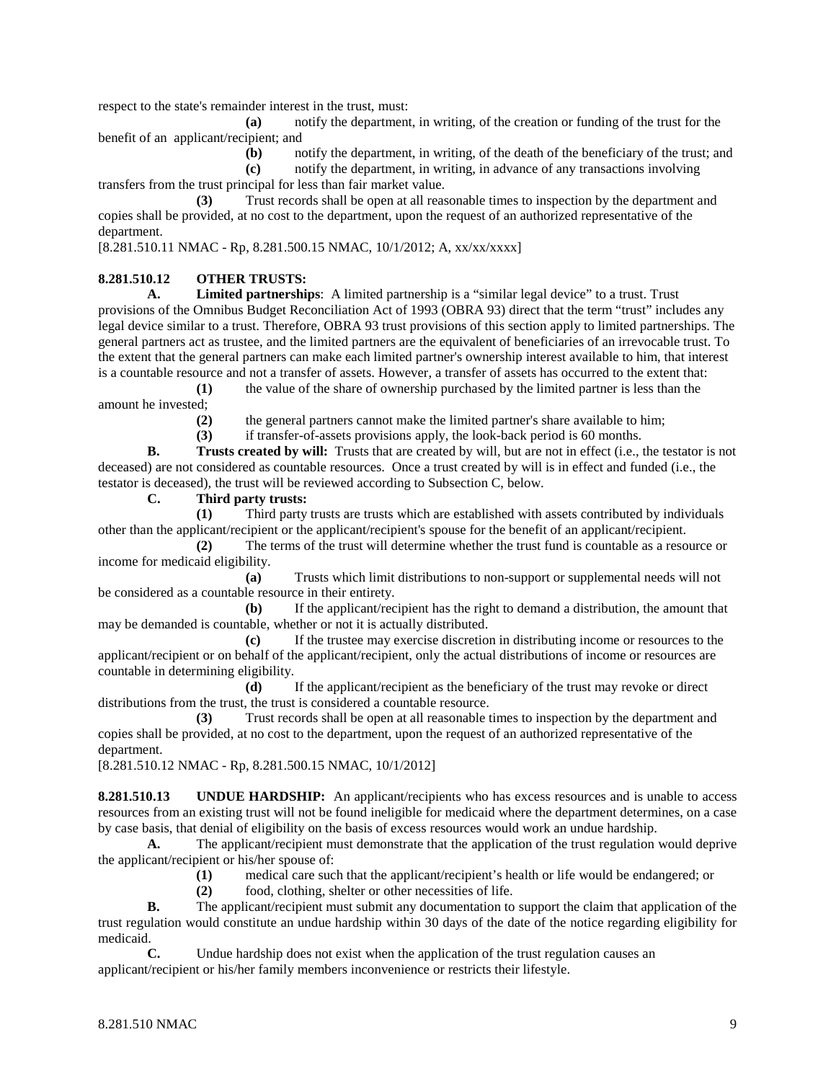respect to the state's remainder interest in the trust, must:

**(a)** notify the department, in writing, of the creation or funding of the trust for the benefit of an applicant/recipient; and

**(b)** notify the department, in writing, of the death of the beneficiary of the trust; and

**(c)** notify the department, in writing, in advance of any transactions involving transfers from the trust principal for less than fair market value.

**(3)** Trust records shall be open at all reasonable times to inspection by the department and copies shall be provided, at no cost to the department, upon the request of an authorized representative of the department.

[8.281.510.11 NMAC - Rp, 8.281.500.15 NMAC, 10/1/2012; A, xx/xx/xxxx]

## **8.281.510.12 OTHER TRUSTS:**

**A. Limited partnerships**: A limited partnership is a "similar legal device" to a trust. Trust provisions of the Omnibus Budget Reconciliation Act of 1993 (OBRA 93) direct that the term "trust" includes any legal device similar to a trust. Therefore, OBRA 93 trust provisions of this section apply to limited partnerships. The general partners act as trustee, and the limited partners are the equivalent of beneficiaries of an irrevocable trust. To the extent that the general partners can make each limited partner's ownership interest available to him, that interest is a countable resource and not a transfer of assets. However, a transfer of assets has occurred to the extent that:

**(1)** the value of the share of ownership purchased by the limited partner is less than the amount he invested;

**(2)** the general partners cannot make the limited partner's share available to him;

**(3)** if transfer-of-assets provisions apply, the look-back period is 60 months.

**B. Trusts created by will:** Trusts that are created by will, but are not in effect (i.e., the testator is not deceased) are not considered as countable resources. Once a trust created by will is in effect and funded (i.e., the testator is deceased), the trust will be reviewed according to Subsection C, below.

## **C. Third party trusts:**

**(1)** Third party trusts are trusts which are established with assets contributed by individuals other than the applicant/recipient or the applicant/recipient's spouse for the benefit of an applicant/recipient.

**(2)** The terms of the trust will determine whether the trust fund is countable as a resource or income for medicaid eligibility.

**(a)** Trusts which limit distributions to non-support or supplemental needs will not be considered as a countable resource in their entirety.

**(b)** If the applicant/recipient has the right to demand a distribution, the amount that may be demanded is countable, whether or not it is actually distributed.

**(c)** If the trustee may exercise discretion in distributing income or resources to the applicant/recipient or on behalf of the applicant/recipient, only the actual distributions of income or resources are countable in determining eligibility.

**(d)** If the applicant/recipient as the beneficiary of the trust may revoke or direct distributions from the trust, the trust is considered a countable resource.

**(3)** Trust records shall be open at all reasonable times to inspection by the department and copies shall be provided, at no cost to the department, upon the request of an authorized representative of the department.

[8.281.510.12 NMAC - Rp, 8.281.500.15 NMAC, 10/1/2012]

**8.281.510.13 UNDUE HARDSHIP:** An applicant/recipients who has excess resources and is unable to access resources from an existing trust will not be found ineligible for medicaid where the department determines, on a case by case basis, that denial of eligibility on the basis of excess resources would work an undue hardship.

**A.** The applicant/recipient must demonstrate that the application of the trust regulation would deprive the applicant/recipient or his/her spouse of:

**(1)** medical care such that the applicant/recipient's health or life would be endangered; or

**(2)** food, clothing, shelter or other necessities of life.

**B.** The applicant/recipient must submit any documentation to support the claim that application of the trust regulation would constitute an undue hardship within 30 days of the date of the notice regarding eligibility for medicaid.

**C.** Undue hardship does not exist when the application of the trust regulation causes an applicant/recipient or his/her family members inconvenience or restricts their lifestyle.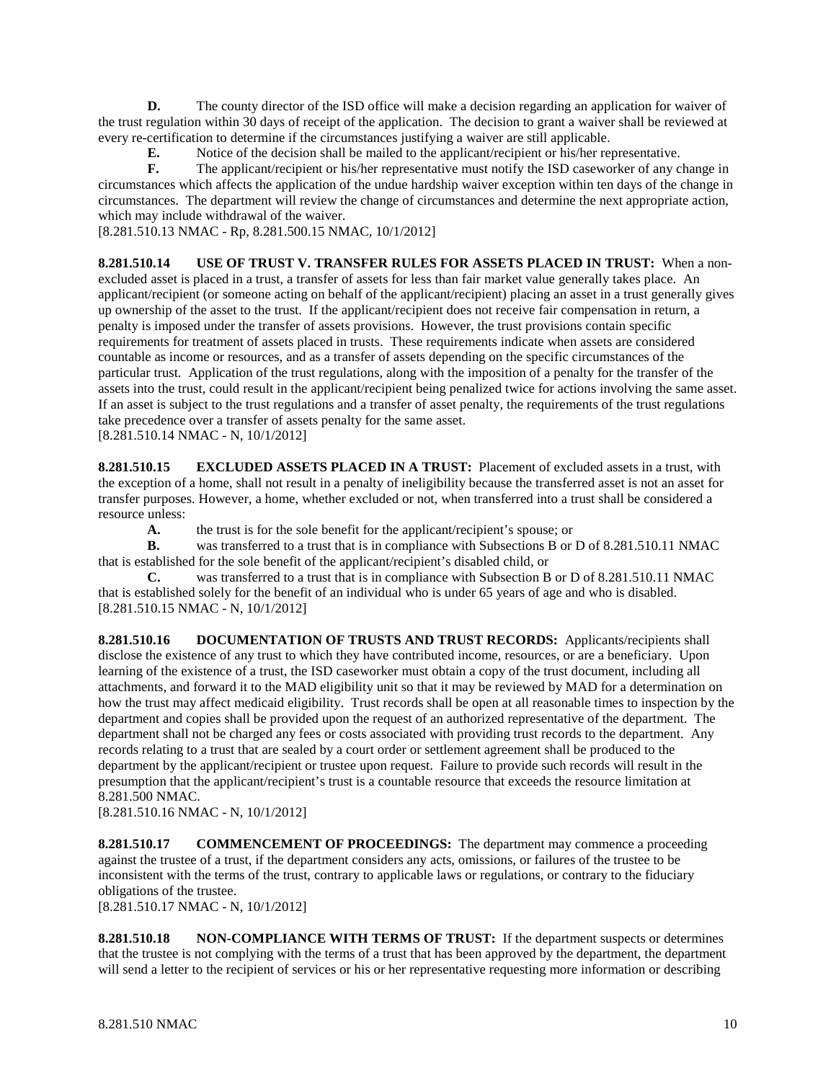**D.** The county director of the ISD office will make a decision regarding an application for waiver of the trust regulation within 30 days of receipt of the application. The decision to grant a waiver shall be reviewed at every re-certification to determine if the circumstances justifying a waiver are still applicable.<br> **E.** Notice of the decision shall be mailed to the applicant/recipient or his/her real

**E.** Notice of the decision shall be mailed to the applicant/recipient or his/her representative.<br> **F.** The applicant/recipient or his/her representative must notify the ISD caseworker of any c

**F.** The applicant/recipient or his/her representative must notify the ISD caseworker of any change in circumstances which affects the application of the undue hardship waiver exception within ten days of the change in circumstances. The department will review the change of circumstances and determine the next appropriate action, which may include withdrawal of the waiver.

[8.281.510.13 NMAC - Rp, 8.281.500.15 NMAC, 10/1/2012]

**8.281.510.14 USE OF TRUST V. TRANSFER RULES FOR ASSETS PLACED IN TRUST:** When a nonexcluded asset is placed in a trust, a transfer of assets for less than fair market value generally takes place. An applicant/recipient (or someone acting on behalf of the applicant/recipient) placing an asset in a trust generally gives up ownership of the asset to the trust. If the applicant/recipient does not receive fair compensation in return, a penalty is imposed under the transfer of assets provisions. However, the trust provisions contain specific requirements for treatment of assets placed in trusts. These requirements indicate when assets are considered countable as income or resources, and as a transfer of assets depending on the specific circumstances of the particular trust. Application of the trust regulations, along with the imposition of a penalty for the transfer of the assets into the trust, could result in the applicant/recipient being penalized twice for actions involving the same asset. If an asset is subject to the trust regulations and a transfer of asset penalty, the requirements of the trust regulations take precedence over a transfer of assets penalty for the same asset. [8.281.510.14 NMAC - N, 10/1/2012]

**8.281.510.15 EXCLUDED ASSETS PLACED IN A TRUST:** Placement of excluded assets in a trust, with the exception of a home, shall not result in a penalty of ineligibility because the transferred asset is not an asset for transfer purposes. However, a home, whether excluded or not, when transferred into a trust shall be considered a

resource unless:

**A.** the trust is for the sole benefit for the applicant/recipient's spouse; or

**B.** was transferred to a trust that is in compliance with Subsections B or D of 8.281.510.11 NMAC that is established for the sole benefit of the applicant/recipient's disabled child, or

**C.** was transferred to a trust that is in compliance with Subsection B or D of 8.281.510.11 NMAC that is established solely for the benefit of an individual who is under 65 years of age and who is disabled. [8.281.510.15 NMAC - N, 10/1/2012]

**8.281.510.16 DOCUMENTATION OF TRUSTS AND TRUST RECORDS:** Applicants/recipients shall disclose the existence of any trust to which they have contributed income, resources, or are a beneficiary. Upon learning of the existence of a trust, the ISD caseworker must obtain a copy of the trust document, including all attachments, and forward it to the MAD eligibility unit so that it may be reviewed by MAD for a determination on how the trust may affect medicaid eligibility. Trust records shall be open at all reasonable times to inspection by the department and copies shall be provided upon the request of an authorized representative of the department. The department shall not be charged any fees or costs associated with providing trust records to the department. Any records relating to a trust that are sealed by a court order or settlement agreement shall be produced to the department by the applicant/recipient or trustee upon request. Failure to provide such records will result in the presumption that the applicant/recipient's trust is a countable resource that exceeds the resource limitation at 8.281.500 NMAC.

[8.281.510.16 NMAC - N, 10/1/2012]

**8.281.510.17 COMMENCEMENT OF PROCEEDINGS:** The department may commence a proceeding against the trustee of a trust, if the department considers any acts, omissions, or failures of the trustee to be inconsistent with the terms of the trust, contrary to applicable laws or regulations, or contrary to the fiduciary obligations of the trustee.

[8.281.510.17 NMAC - N, 10/1/2012]

**8.281.510.18 NON-COMPLIANCE WITH TERMS OF TRUST:** If the department suspects or determines that the trustee is not complying with the terms of a trust that has been approved by the department, the department will send a letter to the recipient of services or his or her representative requesting more information or describing